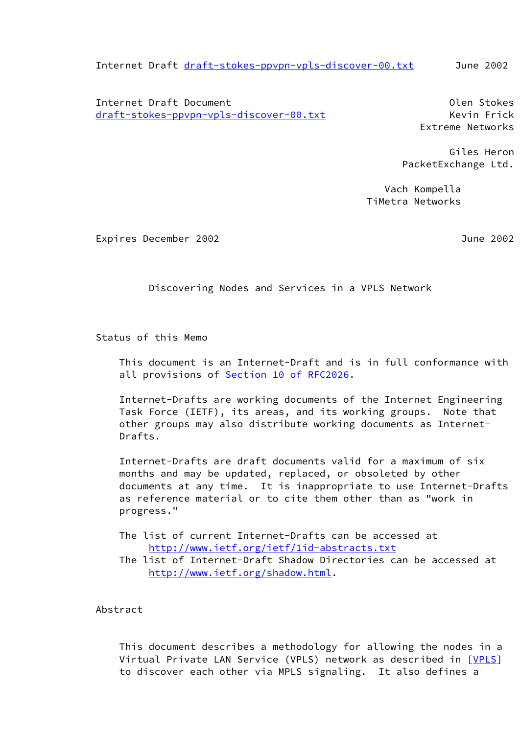Internet Draft [draft-stokes-ppvpn-vpls-discover-00.txt](https://datatracker.ietf.org/doc/pdf/draft-stokes-ppvpn-vpls-discover-00.txt) June 2002

 Internet Draft Document Olen Stokes [draft-stokes-ppvpn-vpls-discover-00.txt](https://datatracker.ietf.org/doc/pdf/draft-stokes-ppvpn-vpls-discover-00.txt) Kevin Frick

Extreme Networks

 Giles Heron PacketExchange Ltd.

 Vach Kompella TiMetra Networks

Expires December 2002 June 2002

Discovering Nodes and Services in a VPLS Network

Status of this Memo

 This document is an Internet-Draft and is in full conformance with all provisions of **Section 10 of RFC2026**.

 Internet-Drafts are working documents of the Internet Engineering Task Force (IETF), its areas, and its working groups. Note that other groups may also distribute working documents as Internet- Drafts.

 Internet-Drafts are draft documents valid for a maximum of six months and may be updated, replaced, or obsoleted by other documents at any time. It is inappropriate to use Internet-Drafts as reference material or to cite them other than as "work in progress."

 The list of current Internet-Drafts can be accessed at <http://www.ietf.org/ietf/1id-abstracts.txt> The list of Internet-Draft Shadow Directories can be accessed at

<http://www.ietf.org/shadow.html>.

Abstract

 This document describes a methodology for allowing the nodes in a Virtual Private LAN Service (VPLS) network as described in [[VPLS\]](#page-11-0) to discover each other via MPLS signaling. It also defines a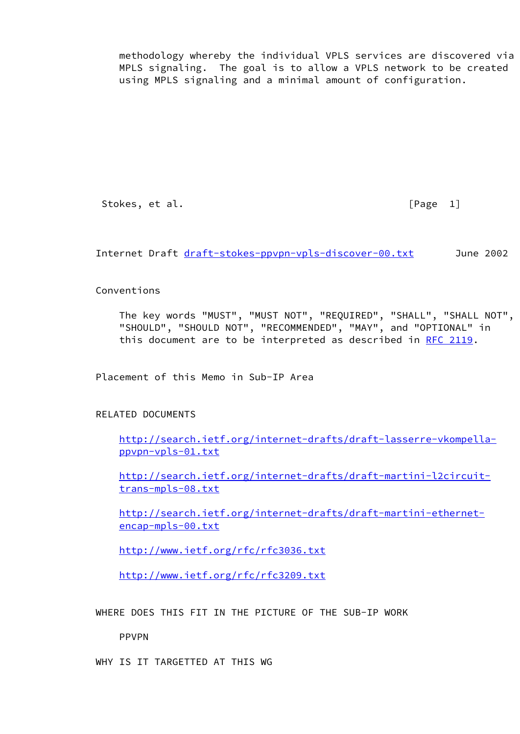methodology whereby the individual VPLS services are discovered via MPLS signaling. The goal is to allow a VPLS network to be created using MPLS signaling and a minimal amount of configuration.

Stokes, et al. [Page 1]

Internet Draft [draft-stokes-ppvpn-vpls-discover-00.txt](https://datatracker.ietf.org/doc/pdf/draft-stokes-ppvpn-vpls-discover-00.txt) June 2002

## Conventions

 The key words "MUST", "MUST NOT", "REQUIRED", "SHALL", "SHALL NOT", "SHOULD", "SHOULD NOT", "RECOMMENDED", "MAY", and "OPTIONAL" in this document are to be interpreted as described in [RFC 2119.](https://datatracker.ietf.org/doc/pdf/rfc2119)

Placement of this Memo in Sub-IP Area

## RELATED DOCUMENTS

 [http://search.ietf.org/internet-drafts/draft-lasserre-vkompella](http://search.ietf.org/internet-drafts/draft-lasserre-vkompella-ppvpn-vpls-01.txt) [ppvpn-vpls-01.txt](http://search.ietf.org/internet-drafts/draft-lasserre-vkompella-ppvpn-vpls-01.txt)

 [http://search.ietf.org/internet-drafts/draft-martini-l2circuit](http://search.ietf.org/internet-drafts/draft-martini-l2circuit-trans-mpls-08.txt) [trans-mpls-08.txt](http://search.ietf.org/internet-drafts/draft-martini-l2circuit-trans-mpls-08.txt)

 [http://search.ietf.org/internet-drafts/draft-martini-ethernet](http://search.ietf.org/internet-drafts/draft-martini-ethernet-encap-mpls-00.txt) [encap-mpls-00.txt](http://search.ietf.org/internet-drafts/draft-martini-ethernet-encap-mpls-00.txt)

<http://www.ietf.org/rfc/rfc3036.txt>

<http://www.ietf.org/rfc/rfc3209.txt>

WHERE DOES THIS FIT IN THE PICTURE OF THE SUB-IP WORK

PPVPN

WHY IS IT TARGETTED AT THIS WG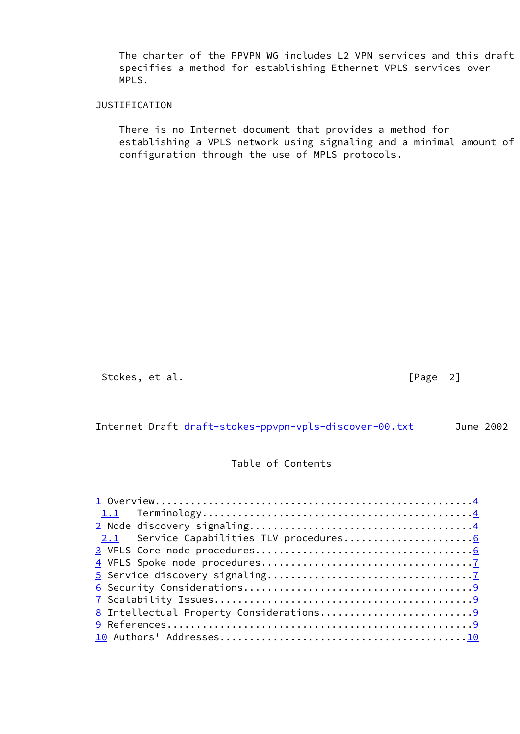The charter of the PPVPN WG includes L2 VPN services and this draft specifies a method for establishing Ethernet VPLS services over MPLS.

## JUSTIFICATION

 There is no Internet document that provides a method for establishing a VPLS network using signaling and a minimal amount of configuration through the use of MPLS protocols.

Stokes, et al. [Page 2]

Internet Draft [draft-stokes-ppvpn-vpls-discover-00.txt](https://datatracker.ietf.org/doc/pdf/draft-stokes-ppvpn-vpls-discover-00.txt) June 2002

# Table of Contents

| 1.1                                         |  |
|---------------------------------------------|--|
|                                             |  |
| Service Capabilities TLV procedures6<br>2.1 |  |
|                                             |  |
|                                             |  |
|                                             |  |
|                                             |  |
|                                             |  |
| 8 Intellectual Property Considerations9     |  |
|                                             |  |
|                                             |  |
|                                             |  |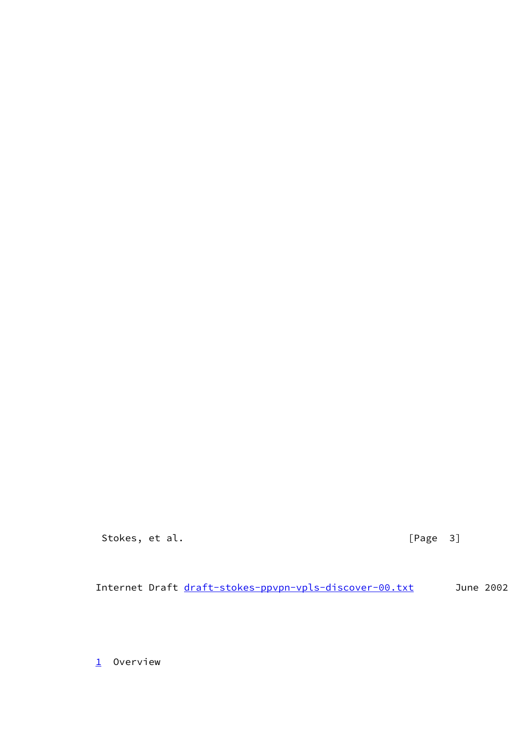Stokes, et al. [Page 3]

Internet Draft [draft-stokes-ppvpn-vpls-discover-00.txt](https://datatracker.ietf.org/doc/pdf/draft-stokes-ppvpn-vpls-discover-00.txt) June 2002

<span id="page-3-0"></span> $1$  Overview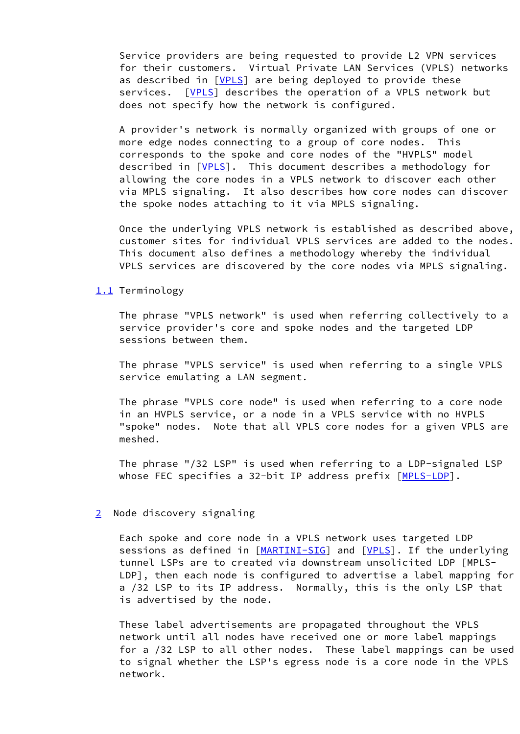Service providers are being requested to provide L2 VPN services for their customers. Virtual Private LAN Services (VPLS) networks as described in [\[VPLS](#page-11-0)] are being deployed to provide these services. [[VPLS\]](#page-11-0) describes the operation of a VPLS network but does not specify how the network is configured.

 A provider's network is normally organized with groups of one or more edge nodes connecting to a group of core nodes. This corresponds to the spoke and core nodes of the "HVPLS" model described in [\[VPLS](#page-11-0)]. This document describes a methodology for allowing the core nodes in a VPLS network to discover each other via MPLS signaling. It also describes how core nodes can discover the spoke nodes attaching to it via MPLS signaling.

 Once the underlying VPLS network is established as described above, customer sites for individual VPLS services are added to the nodes. This document also defines a methodology whereby the individual VPLS services are discovered by the core nodes via MPLS signaling.

### <span id="page-4-0"></span>[1.1](#page-4-0) Terminology

 The phrase "VPLS network" is used when referring collectively to a service provider's core and spoke nodes and the targeted LDP sessions between them.

 The phrase "VPLS service" is used when referring to a single VPLS service emulating a LAN segment.

 The phrase "VPLS core node" is used when referring to a core node in an HVPLS service, or a node in a VPLS service with no HVPLS "spoke" nodes. Note that all VPLS core nodes for a given VPLS are meshed.

 The phrase "/32 LSP" is used when referring to a LDP-signaled LSP whose FEC specifies a 32-bit IP address prefix [\[MPLS-LDP](#page-11-4)].

#### <span id="page-4-1"></span>[2](#page-4-1) Node discovery signaling

 Each spoke and core node in a VPLS network uses targeted LDP sessions as defined in [\[MARTINI-SIG](#page-11-5)] and [\[VPLS](#page-11-0)]. If the underlying tunnel LSPs are to created via downstream unsolicited LDP [MPLS- LDP], then each node is configured to advertise a label mapping for a /32 LSP to its IP address. Normally, this is the only LSP that is advertised by the node.

 These label advertisements are propagated throughout the VPLS network until all nodes have received one or more label mappings for a /32 LSP to all other nodes. These label mappings can be used to signal whether the LSP's egress node is a core node in the VPLS network.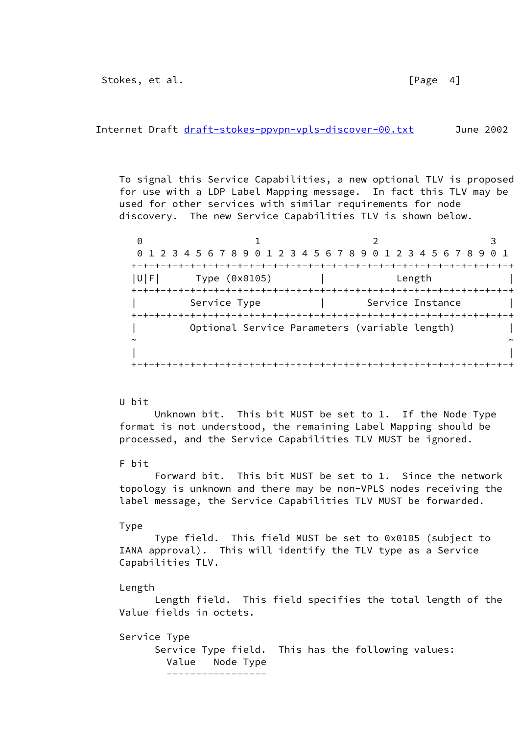Internet Draft [draft-stokes-ppvpn-vpls-discover-00.txt](https://datatracker.ietf.org/doc/pdf/draft-stokes-ppvpn-vpls-discover-00.txt) June 2002

 To signal this Service Capabilities, a new optional TLV is proposed for use with a LDP Label Mapping message. In fact this TLV may be used for other services with similar requirements for node discovery. The new Service Capabilities TLV is shown below.

| $\left(\cdot\right)$ |               | 0 1 2 3 4 5 6 7 8 9 0 1 2 3 4 5 6 7 8 9 0 1 2 3 4 5 6 7 8 9 0 1 |                  |
|----------------------|---------------|-----------------------------------------------------------------|------------------|
| UFI                  | Type (0x0105) |                                                                 | Length           |
|                      | Service Type  |                                                                 | Service Instance |
|                      |               | Optional Service Parameters (variable length)                   |                  |
|                      |               |                                                                 |                  |

#### U bit

 Unknown bit. This bit MUST be set to 1. If the Node Type format is not understood, the remaining Label Mapping should be processed, and the Service Capabilities TLV MUST be ignored.

### F bit

 Forward bit. This bit MUST be set to 1. Since the network topology is unknown and there may be non-VPLS nodes receiving the label message, the Service Capabilities TLV MUST be forwarded.

### Type

 Type field. This field MUST be set to 0x0105 (subject to IANA approval). This will identify the TLV type as a Service Capabilities TLV.

#### Length

 Length field. This field specifies the total length of the Value fields in octets.

Service Type

 Service Type field. This has the following values: Value Node Type -----------------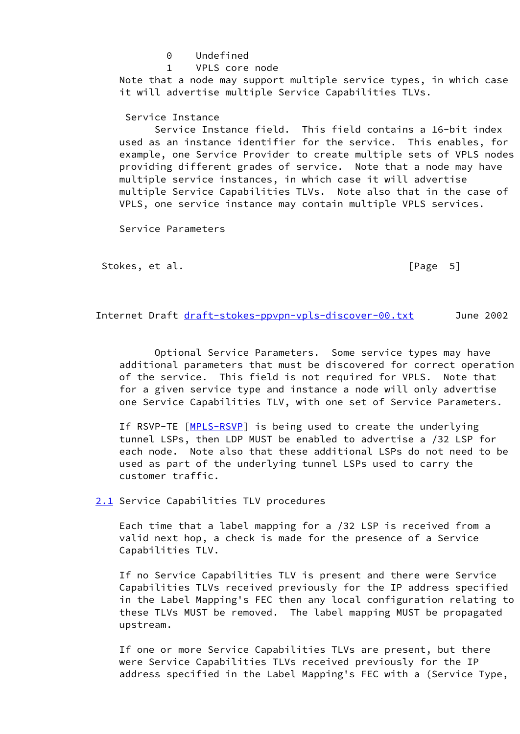0 Undefined 1 VPLS core node Note that a node may support multiple service types, in which case it will advertise multiple Service Capabilities TLVs.

### Service Instance

 Service Instance field. This field contains a 16-bit index used as an instance identifier for the service. This enables, for example, one Service Provider to create multiple sets of VPLS nodes providing different grades of service. Note that a node may have multiple service instances, in which case it will advertise multiple Service Capabilities TLVs. Note also that in the case of VPLS, one service instance may contain multiple VPLS services.

Service Parameters

Stokes, et al. [Page 5]

Internet Draft [draft-stokes-ppvpn-vpls-discover-00.txt](https://datatracker.ietf.org/doc/pdf/draft-stokes-ppvpn-vpls-discover-00.txt) June 2002

 Optional Service Parameters. Some service types may have additional parameters that must be discovered for correct operation of the service. This field is not required for VPLS. Note that for a given service type and instance a node will only advertise one Service Capabilities TLV, with one set of Service Parameters.

If RSVP-TE [[MPLS-RSVP\]](#page-11-6) is being used to create the underlying tunnel LSPs, then LDP MUST be enabled to advertise a /32 LSP for each node. Note also that these additional LSPs do not need to be used as part of the underlying tunnel LSPs used to carry the customer traffic.

<span id="page-6-0"></span>[2.1](#page-6-0) Service Capabilities TLV procedures

 Each time that a label mapping for a /32 LSP is received from a valid next hop, a check is made for the presence of a Service Capabilities TLV.

 If no Service Capabilities TLV is present and there were Service Capabilities TLVs received previously for the IP address specified in the Label Mapping's FEC then any local configuration relating to these TLVs MUST be removed. The label mapping MUST be propagated upstream.

 If one or more Service Capabilities TLVs are present, but there were Service Capabilities TLVs received previously for the IP address specified in the Label Mapping's FEC with a (Service Type,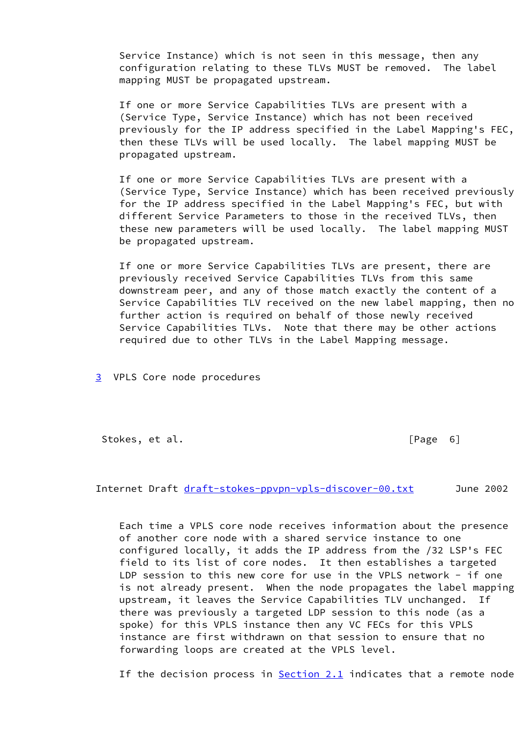Service Instance) which is not seen in this message, then any configuration relating to these TLVs MUST be removed. The label mapping MUST be propagated upstream.

 If one or more Service Capabilities TLVs are present with a (Service Type, Service Instance) which has not been received previously for the IP address specified in the Label Mapping's FEC, then these TLVs will be used locally. The label mapping MUST be propagated upstream.

 If one or more Service Capabilities TLVs are present with a (Service Type, Service Instance) which has been received previously for the IP address specified in the Label Mapping's FEC, but with different Service Parameters to those in the received TLVs, then these new parameters will be used locally. The label mapping MUST be propagated upstream.

 If one or more Service Capabilities TLVs are present, there are previously received Service Capabilities TLVs from this same downstream peer, and any of those match exactly the content of a Service Capabilities TLV received on the new label mapping, then no further action is required on behalf of those newly received Service Capabilities TLVs. Note that there may be other actions required due to other TLVs in the Label Mapping message.

<span id="page-7-0"></span>[3](#page-7-0) VPLS Core node procedures

Stokes, et al. [Page 6]

Internet Draft [draft-stokes-ppvpn-vpls-discover-00.txt](https://datatracker.ietf.org/doc/pdf/draft-stokes-ppvpn-vpls-discover-00.txt) June 2002

 Each time a VPLS core node receives information about the presence of another core node with a shared service instance to one configured locally, it adds the IP address from the /32 LSP's FEC field to its list of core nodes. It then establishes a targeted LDP session to this new core for use in the VPLS network  $-$  if one is not already present. When the node propagates the label mapping upstream, it leaves the Service Capabilities TLV unchanged. If there was previously a targeted LDP session to this node (as a spoke) for this VPLS instance then any VC FECs for this VPLS instance are first withdrawn on that session to ensure that no forwarding loops are created at the VPLS level.

If the decision process in  $Section 2.1$  indicates that a remote node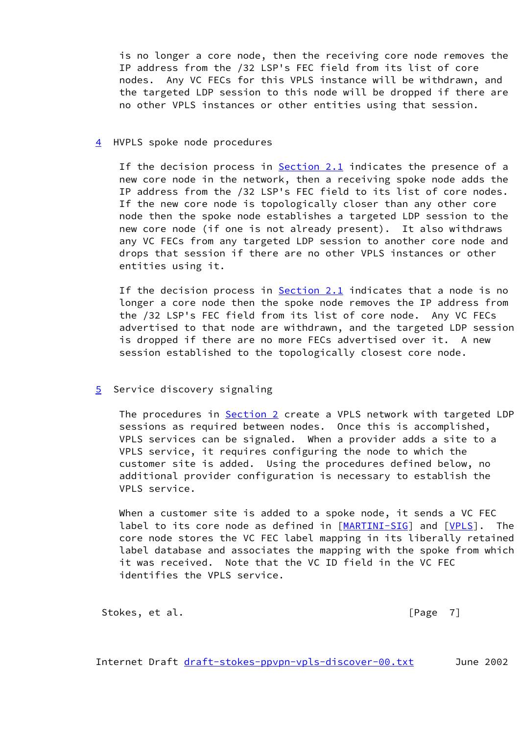is no longer a core node, then the receiving core node removes the IP address from the /32 LSP's FEC field from its list of core nodes. Any VC FECs for this VPLS instance will be withdrawn, and the targeted LDP session to this node will be dropped if there are no other VPLS instances or other entities using that session.

### <span id="page-8-0"></span>[4](#page-8-0) HVPLS spoke node procedures

If the decision process in  $Section 2.1$  indicates the presence of a new core node in the network, then a receiving spoke node adds the IP address from the /32 LSP's FEC field to its list of core nodes. If the new core node is topologically closer than any other core node then the spoke node establishes a targeted LDP session to the new core node (if one is not already present). It also withdraws any VC FECs from any targeted LDP session to another core node and drops that session if there are no other VPLS instances or other entities using it.

 If the decision process in [Section 2.1](#page-6-0) indicates that a node is no longer a core node then the spoke node removes the IP address from the /32 LSP's FEC field from its list of core node. Any VC FECs advertised to that node are withdrawn, and the targeted LDP session is dropped if there are no more FECs advertised over it. A new session established to the topologically closest core node.

## <span id="page-8-1"></span>[5](#page-8-1) Service discovery signaling

 The procedures in [Section 2](#page-4-1) create a VPLS network with targeted LDP sessions as required between nodes. Once this is accomplished, VPLS services can be signaled. When a provider adds a site to a VPLS service, it requires configuring the node to which the customer site is added. Using the procedures defined below, no additional provider configuration is necessary to establish the VPLS service.

 When a customer site is added to a spoke node, it sends a VC FEC label to its core node as defined in [\[MARTINI-SIG](#page-11-5)] and [\[VPLS](#page-11-0)]. The core node stores the VC FEC label mapping in its liberally retained label database and associates the mapping with the spoke from which it was received. Note that the VC ID field in the VC FEC identifies the VPLS service.

Stokes, et al. [Page 7]

Internet Draft [draft-stokes-ppvpn-vpls-discover-00.txt](https://datatracker.ietf.org/doc/pdf/draft-stokes-ppvpn-vpls-discover-00.txt) June 2002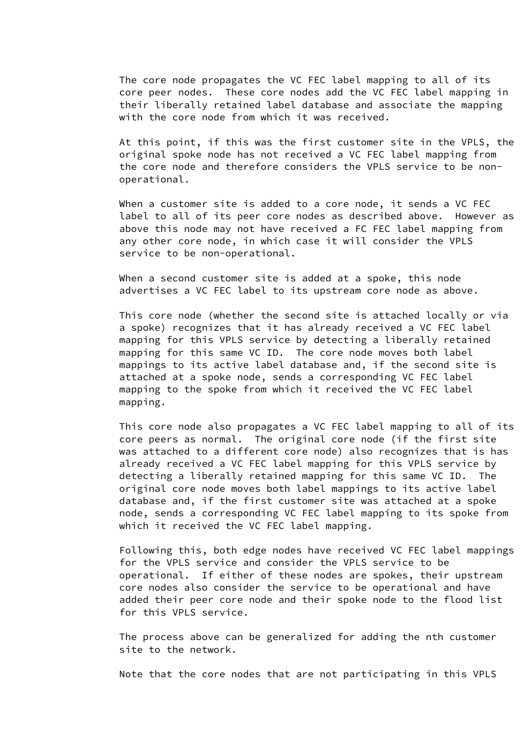The core node propagates the VC FEC label mapping to all of its core peer nodes. These core nodes add the VC FEC label mapping in their liberally retained label database and associate the mapping with the core node from which it was received.

 At this point, if this was the first customer site in the VPLS, the original spoke node has not received a VC FEC label mapping from the core node and therefore considers the VPLS service to be non operational.

When a customer site is added to a core node, it sends a VC FEC label to all of its peer core nodes as described above. However as above this node may not have received a FC FEC label mapping from any other core node, in which case it will consider the VPLS service to be non-operational.

 When a second customer site is added at a spoke, this node advertises a VC FEC label to its upstream core node as above.

 This core node (whether the second site is attached locally or via a spoke) recognizes that it has already received a VC FEC label mapping for this VPLS service by detecting a liberally retained mapping for this same VC ID. The core node moves both label mappings to its active label database and, if the second site is attached at a spoke node, sends a corresponding VC FEC label mapping to the spoke from which it received the VC FEC label mapping.

 This core node also propagates a VC FEC label mapping to all of its core peers as normal. The original core node (if the first site was attached to a different core node) also recognizes that is has already received a VC FEC label mapping for this VPLS service by detecting a liberally retained mapping for this same VC ID. The original core node moves both label mappings to its active label database and, if the first customer site was attached at a spoke node, sends a corresponding VC FEC label mapping to its spoke from which it received the VC FEC label mapping.

 Following this, both edge nodes have received VC FEC label mappings for the VPLS service and consider the VPLS service to be operational. If either of these nodes are spokes, their upstream core nodes also consider the service to be operational and have added their peer core node and their spoke node to the flood list for this VPLS service.

 The process above can be generalized for adding the nth customer site to the network.

Note that the core nodes that are not participating in this VPLS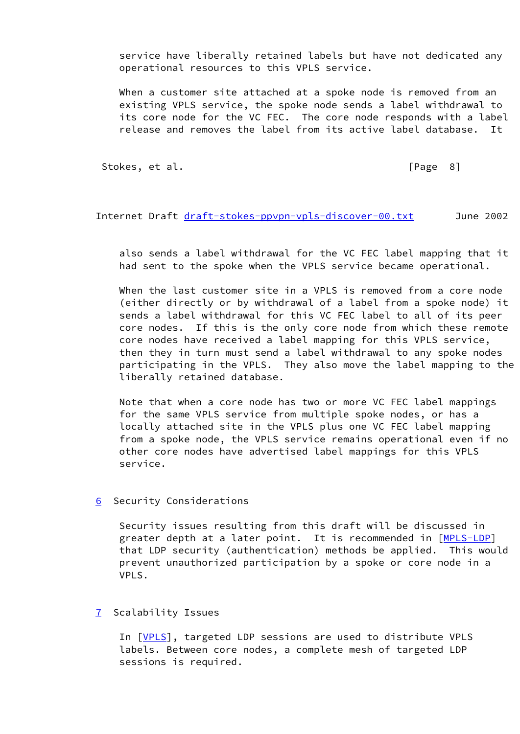service have liberally retained labels but have not dedicated any operational resources to this VPLS service.

 When a customer site attached at a spoke node is removed from an existing VPLS service, the spoke node sends a label withdrawal to its core node for the VC FEC. The core node responds with a label release and removes the label from its active label database. It

Stokes, et al. [Page 8]

Internet Draft [draft-stokes-ppvpn-vpls-discover-00.txt](https://datatracker.ietf.org/doc/pdf/draft-stokes-ppvpn-vpls-discover-00.txt) June 2002

 also sends a label withdrawal for the VC FEC label mapping that it had sent to the spoke when the VPLS service became operational.

 When the last customer site in a VPLS is removed from a core node (either directly or by withdrawal of a label from a spoke node) it sends a label withdrawal for this VC FEC label to all of its peer core nodes. If this is the only core node from which these remote core nodes have received a label mapping for this VPLS service, then they in turn must send a label withdrawal to any spoke nodes participating in the VPLS. They also move the label mapping to the liberally retained database.

 Note that when a core node has two or more VC FEC label mappings for the same VPLS service from multiple spoke nodes, or has a locally attached site in the VPLS plus one VC FEC label mapping from a spoke node, the VPLS service remains operational even if no other core nodes have advertised label mappings for this VPLS service.

<span id="page-10-0"></span>[6](#page-10-0) Security Considerations

 Security issues resulting from this draft will be discussed in greater depth at a later point. It is recommended in [[MPLS-LDP\]](#page-11-4) that LDP security (authentication) methods be applied. This would prevent unauthorized participation by a spoke or core node in a VPLS.

<span id="page-10-1"></span>[7](#page-10-1) Scalability Issues

In [[VPLS\]](#page-11-0), targeted LDP sessions are used to distribute VPLS labels. Between core nodes, a complete mesh of targeted LDP sessions is required.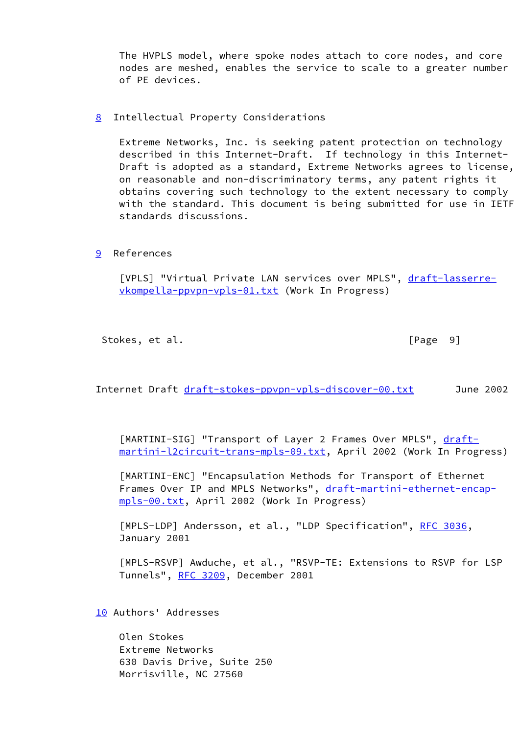The HVPLS model, where spoke nodes attach to core nodes, and core nodes are meshed, enables the service to scale to a greater number of PE devices.

<span id="page-11-1"></span>[8](#page-11-1) Intellectual Property Considerations

 Extreme Networks, Inc. is seeking patent protection on technology described in this Internet-Draft. If technology in this Internet- Draft is adopted as a standard, Extreme Networks agrees to license, on reasonable and non-discriminatory terms, any patent rights it obtains covering such technology to the extent necessary to comply with the standard. This document is being submitted for use in IETF standards discussions.

<span id="page-11-2"></span>[9](#page-11-2) References

<span id="page-11-0"></span> [VPLS] "Virtual Private LAN services over MPLS", [draft-lasserre](https://datatracker.ietf.org/doc/pdf/draft-lasserre-vkompella-ppvpn-vpls-01.txt) [vkompella-ppvpn-vpls-01.txt](https://datatracker.ietf.org/doc/pdf/draft-lasserre-vkompella-ppvpn-vpls-01.txt) (Work In Progress)

Stokes, et al. [Page 9]

Internet Draft [draft-stokes-ppvpn-vpls-discover-00.txt](https://datatracker.ietf.org/doc/pdf/draft-stokes-ppvpn-vpls-discover-00.txt) June 2002

<span id="page-11-5"></span>[MARTINI-SIG] "Transport of Layer 2 Frames Over MPLS", [draft](https://datatracker.ietf.org/doc/pdf/draft-martini-l2circuit-trans-mpls-09.txt) [martini-l2circuit-trans-mpls-09.txt](https://datatracker.ietf.org/doc/pdf/draft-martini-l2circuit-trans-mpls-09.txt), April 2002 (Work In Progress)

 [MARTINI-ENC] "Encapsulation Methods for Transport of Ethernet Frames Over IP and MPLS Networks", [draft-martini-ethernet-encap](https://datatracker.ietf.org/doc/pdf/draft-martini-ethernet-encap-mpls-00.txt) [mpls-00.txt](https://datatracker.ietf.org/doc/pdf/draft-martini-ethernet-encap-mpls-00.txt), April 2002 (Work In Progress)

<span id="page-11-4"></span>[MPLS-LDP] Andersson, et al., "LDP Specification", [RFC 3036,](https://datatracker.ietf.org/doc/pdf/rfc3036) January 2001

<span id="page-11-6"></span> [MPLS-RSVP] Awduche, et al., "RSVP-TE: Extensions to RSVP for LSP Tunnels", [RFC 3209](https://datatracker.ietf.org/doc/pdf/rfc3209), December 2001

<span id="page-11-3"></span>[10](#page-11-3) Authors' Addresses

 Olen Stokes Extreme Networks 630 Davis Drive, Suite 250 Morrisville, NC 27560